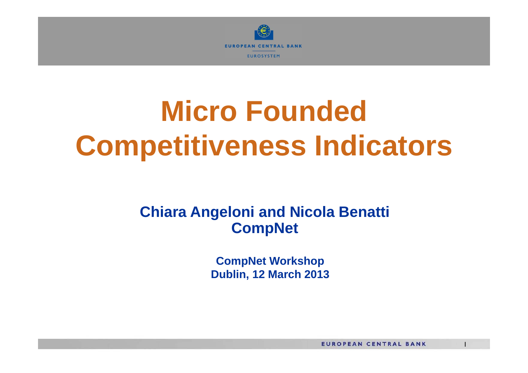

# **Micro Founded Competitiveness Indicators**

#### **Chiara Angeloni and Nicola Benatti CompNet**

**CompNet Workshop Dublin, 12 March 2013**

**EUROPEAN CENTRAL BANK** 

1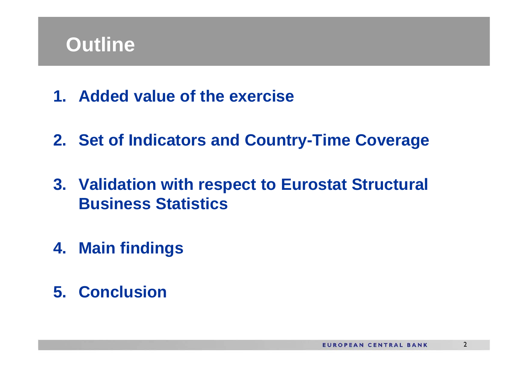

- **1. Added value of the exercise**
- **2. Set of Indicators and Country-Time Coverage**
- **3. Validation with respect to Eurostat Structural Business Statistics**
- **4. Main findings**
- **5. Conclusion**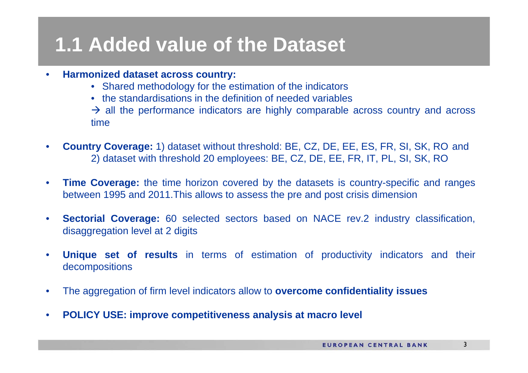## **1.1 Added value of the Dataset**

- • **Harmonized dataset across country:**
	- Shared methodology for the estimation of the indicators
	- the standardisations in the definition of needed variables

 $\rightarrow$  all the performance indicators are highly comparable across country and across time

- • **Country Coverage:** 1) dataset without threshold: BE, CZ, DE, EE, ES, FR, SI, SK, RO and 2) dataset with threshold 20 employees: BE, CZ, DE, EE, FR, IT, PL, SI, SK, RO
- •**Time Coverage:** the time horizon covered by the datasets is country-specific and ranges between 1995 and 2011.This allows to assess the pre and post crisis dimension
- $\bullet$ **Sectorial Coverage:** 60 selected sectors based on NACE rev.2 industry classification, disaggregation level at 2 digits
- • **Unique set of results** in terms of estimation of productivity indicators and their decompositions
- •The aggregation of firm level indicators allow to **overcome confidentiality issues**
- $\bullet$ **POLICY USE: improve competitiveness analysis at macro level**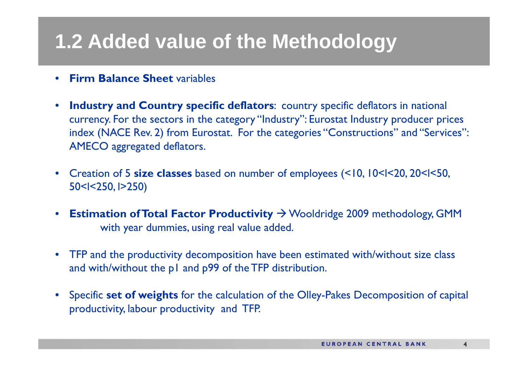## **1.2 Added value of the Methodology**

- $\bullet$ **Firm Balance Sheet** variables
- $\bullet$  **Industry and Country specific deflators**: country specific deflators in national currency. For the sectors in the category "Industry": Eurostat Industry producer prices index (NACE Rev. 2) from Eurostat. For the categories "Constructions" and "Services": AMECO aggregated deflators.
- $\bullet$  Creation of 5 **size classes** based on number of employees (<10, 10<l<20, 20<l<50, 50<l<250, l>250)
- $\bullet$ **Estimation of Total Factor Productivity**  $\rightarrow$  **Wooldridge 2009 methodology, GMM** with year dummies, using real value added.
- TFP and the productivity decomposition have been estimated with/without size class and with/without the p1 and p99 of the TFP distribution.
- Specific **set of weights** for the calculation of the Olley-Pakes Decomposition of capital productivity, labour productivity and TFP.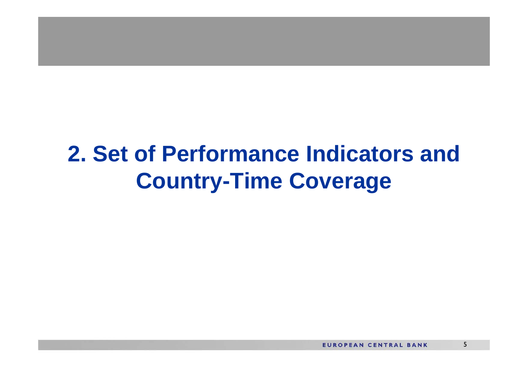## **2. Set of Performance Indicators and Country-Time Coverage**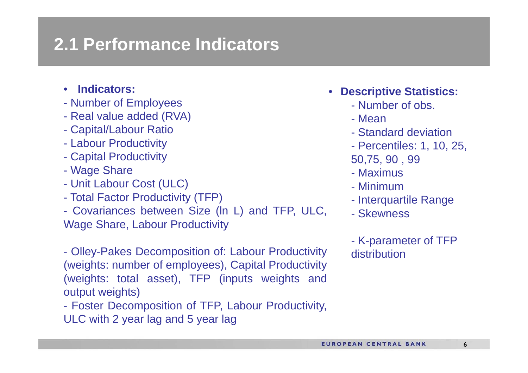#### **2.1 Performance Indicators**

- **Indicators:**
- Number of Employees
- Real value added (RVA)
- Capital/Labour Ratio
- Labour Productivity
- Capital Productivity
- Wage Share
- Unit Labour Cost (ULC)
- Total Factor Productivity (TFP)
- Covariances between Size (ln L) and TFP, ULC, Wage Share, Labour Productivity
- Olley-Pakes Decomposition of: Labour Productivity (weights: number of employees), Capital Productivity (weights: total asset), TFP (inputs weights and output weights)
- Foster Decomposition of TFP, Labour Productivity, ULC with 2 year lag and 5 year lag
- **Descriptive Statistics:**
	- Number of obs.
	- Mean
	- Standard deviation
	- Percentiles: 1, 10, 25,
	- 50,75, 90 , 99
	- Maximus
	- Minimum
	- Interquartile Range
	- Skewness
	- K-parameter of TFP distribution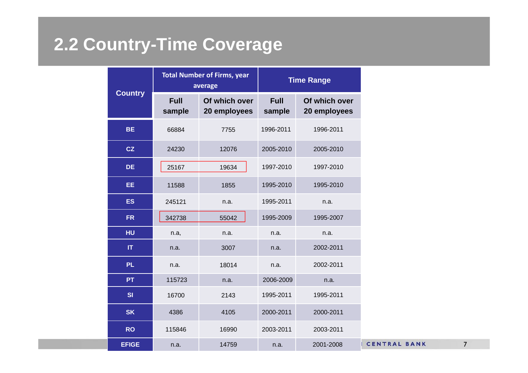### **2.2 Country-Time Coverage**

| <b>Country</b>         |                       | <b>Total Number of Firms, year</b><br>average | <b>Time Range</b>     |                               |  |
|------------------------|-----------------------|-----------------------------------------------|-----------------------|-------------------------------|--|
|                        | <b>Full</b><br>sample | Of which over<br>20 employees                 | <b>Full</b><br>sample | Of which over<br>20 employees |  |
| <b>BE</b>              | 66884                 | 7755                                          | 1996-2011             | 1996-2011                     |  |
| CZ                     | 24230                 | 12076                                         | 2005-2010             | 2005-2010                     |  |
| <b>DE</b>              | 25167                 | 19634                                         | 1997-2010             | 1997-2010                     |  |
| EE                     | 11588                 | 1855                                          | 1995-2010             | 1995-2010                     |  |
| <b>ES</b>              | 245121                | n.a.                                          | 1995-2011             | n.a.                          |  |
| <b>FR</b>              | 342738                | 55042                                         | 1995-2009             | 1995-2007                     |  |
| HU                     | n.a,                  | n.a.                                          | n.a.                  | n.a.<br>2002-2011             |  |
| $\mathsf{I}\mathsf{T}$ | n.a.                  | 3007                                          | n.a.                  |                               |  |
| <b>PL</b>              | n.a.                  | 18014                                         | n.a.                  | 2002-2011                     |  |
| <b>PT</b>              | 115723                | n.a.                                          | 2006-2009             | n.a.                          |  |
| SI                     | 16700                 | 2143                                          | 1995-2011             | 1995-2011                     |  |
| <b>SK</b>              | 4386                  | 4105                                          | 2000-2011             | 2000-2011                     |  |
| <b>RO</b>              | 115846                | 16990                                         | 2003-2011             | 2003-2011                     |  |
| <b>EFIGE</b>           | n.a.                  | 14759                                         | n.a.                  | 2001-2008                     |  |

NTRAL BANK

7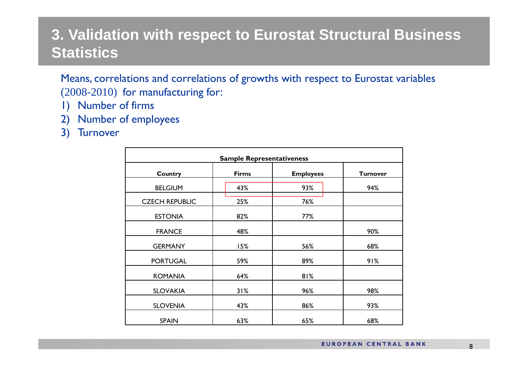#### **3. Validation with respect to Eurostat Structural Business Statistics**

Means, correlations and correlations of growths with respect to Eurostat variables (2008-2010) for manufacturing for:

- 1) Number of firms
- 2) Number of employees
- 3) Turnover

| <b>Sample Representativeness</b> |              |                  |                 |  |  |
|----------------------------------|--------------|------------------|-----------------|--|--|
| <b>Country</b>                   | <b>Firms</b> | <b>Employees</b> | <b>Turnover</b> |  |  |
| <b>BELGIUM</b>                   | 43%          | 93%              | 94%             |  |  |
| <b>CZECH REPUBLIC</b>            | 25%          | 76%              |                 |  |  |
| <b>ESTONIA</b>                   | 82%          | 77%              |                 |  |  |
| <b>FRANCE</b>                    | 48%          |                  | 90%             |  |  |
| <b>GERMANY</b>                   | 15%          | 56%              | 68%             |  |  |
| <b>PORTUGAL</b>                  | 59%          | 89%              | 91%             |  |  |
| <b>ROMANIA</b>                   | 64%          | 81%              |                 |  |  |
| <b>SLOVAKIA</b>                  | 31%          | 96%              | 98%             |  |  |
| <b>SLOVENIA</b>                  | 43%          | 86%              | 93%             |  |  |
| <b>SPAIN</b>                     | 63%          | 65%              | 68%             |  |  |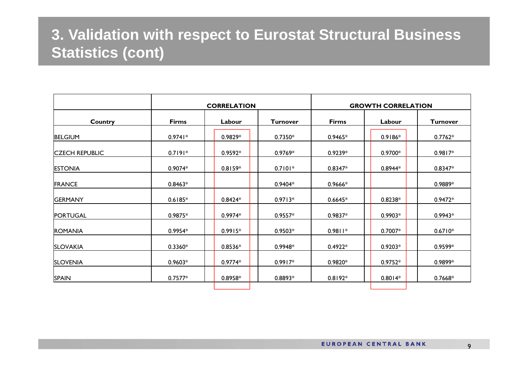#### **3. Validation with respect to Eurostat Structural Business Statistics (cont)**

|                       | <b>CORRELATION</b> |           |                 | <b>GROWTH CORRELATION</b> |           |                 |
|-----------------------|--------------------|-----------|-----------------|---------------------------|-----------|-----------------|
| <b>Country</b>        | <b>Firms</b>       | Labour    | <b>Turnover</b> | <b>Firms</b>              | Labour    | <b>Turnover</b> |
| <b>BELGIUM</b>        | $0.9741*$          | 0.9829*   | $0.7350*$       | $0.9465*$                 | 0.9186*   | $0.7762*$       |
| <b>CZECH REPUBLIC</b> | $0.7191*$          | $0.9592*$ | $0.9769*$       | $0.9239*$                 | $0.9700*$ | $0.9817*$       |
| <b>ESTONIA</b>        | $0.9074*$          | $0.8159*$ | $0.7101*$       | $0.8347*$                 | $0.8944*$ | $0.8347*$       |
| <b>FRANCE</b>         | $0.8463*$          |           | $0.9404*$       | 0.9666*                   |           | 0.9889*         |
| <b>GERMANY</b>        | $0.6185*$          | $0.8424*$ | $0.9713*$       | $0.6645*$                 | $0.8238*$ | $0.9472*$       |
| <b>PORTUGAL</b>       | 0.9875*            | $0.9974*$ | $0.9557*$       | $0.9837*$                 | $0.9903*$ | $0.9943*$       |
| <b>ROMANIA</b>        | $0.9954*$          | $0.9915*$ | $0.9503*$       | $0.9811*$                 | $0.7007*$ | $0.6710*$       |
| <b>SLOVAKIA</b>       | $0.3360*$          | $0.8536*$ | 0.9948*         | $0.4922*$                 | $0.9203*$ | 0.9599*         |
| <b>SLOVENIA</b>       | $0.9603*$          | $0.9774*$ | $0.9917*$       | 0.9820*                   | $0.9752*$ | 0.9899*         |
| <b>SPAIN</b>          | $0.7577*$          | $0.8958*$ | 0.8893*         | $0.8192*$                 | $0.8014*$ | 0.7668*         |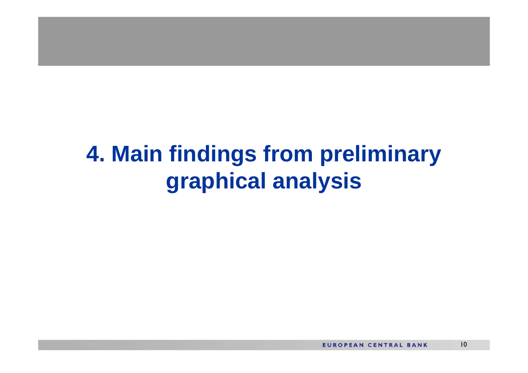## **4. Main findings from preliminary graphical analysis**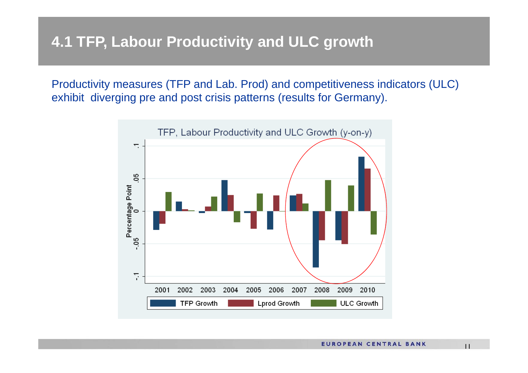#### **4.1 TFP, Labour Productivity and ULC growth**

Productivity measures (TFP and Lab. Prod) and competitiveness indicators (ULC) exhibit diverging pre and post crisis patterns (results for Germany).



11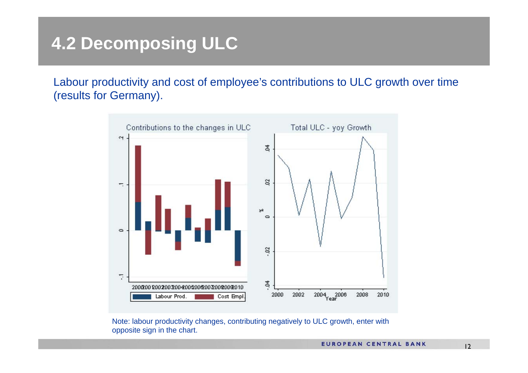### **4.2 Decomposing ULC**

Labour productivity and cost of employee's contributions to ULC growth over time (results for Germany).



Note: labour productivity changes, contributing negatively to ULC growth, enter with opposite sign in the chart.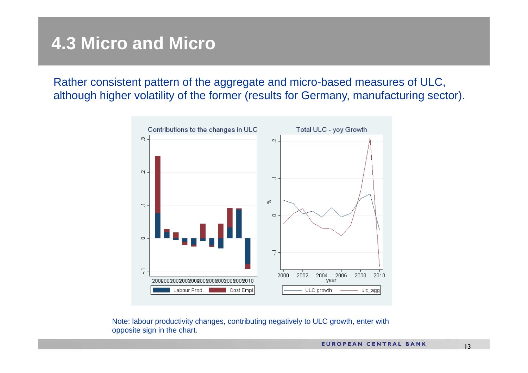#### **4.3 Micro and Micro**

Rather consistent pattern of the aggregate and micro-based measures of ULC, although higher volatility of the former (results for Germany, manufacturing sector).



Note: labour productivity changes, contributing negatively to ULC growth, enter with opposite sign in the chart.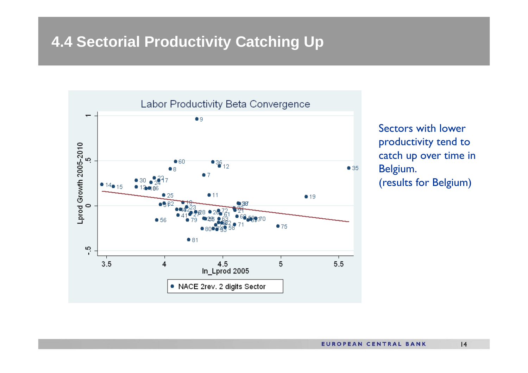#### **4.4 Sectorial Productivity Catching Up**



Sectors with lower productivity tend to catch up over time in Belgium. (results for Belgium)

14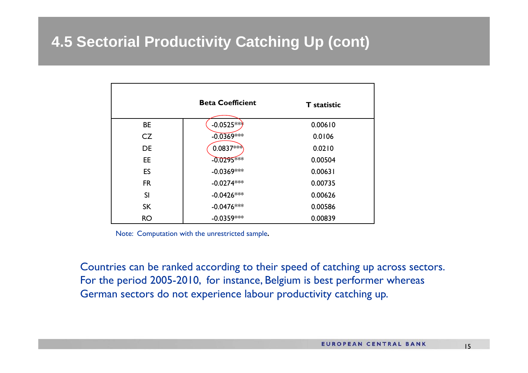#### **4.5 Sectorial Productivity Catching Up (cont)**

|           | <b>Beta Coefficient</b> | <b>T</b> statistic |
|-----------|-------------------------|--------------------|
| <b>BE</b> | $-0.0525***$            | 0.00610            |
| CZ        | $-0.0369***$            | 0.0106             |
| <b>DE</b> | $0.0837***$             | 0.0210             |
| EE.       | $-0.0295$ ***           | 0.00504            |
| <b>ES</b> | $-0.0369***$            | 0.00631            |
| <b>FR</b> | $-0.0274***$            | 0.00735            |
| <b>SI</b> | $-0.0426***$            | 0.00626            |
| <b>SK</b> | $-0.0476***$            | 0.00586            |
| <b>RO</b> | $-0.0359***$            | 0.00839            |

Note: Computation with the unrestricted sample**.**

Countries can be ranked according to their speed of catching up across sectors. For the period 2005-2010, for instance, Belgium is best performer whereas German sectors do not experience labour productivity catching up.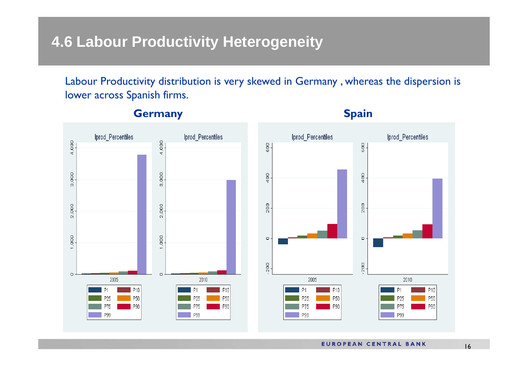#### **4.6 Labour Productivity Heterogeneity**

Labour Productivity distribution is very skewed in Germany , whereas the dispersion is lower across Spanish firms.



#### **Germany Spain Spain Spain Spain Spain Spain Spain Spain Spain Spain Spain Spain Spain Spain Spain Spain Spain Spain Spain Spain Spain Spain Spain Spain Spain Spain Spa**

**EUROPEAN CENTRAL BANK**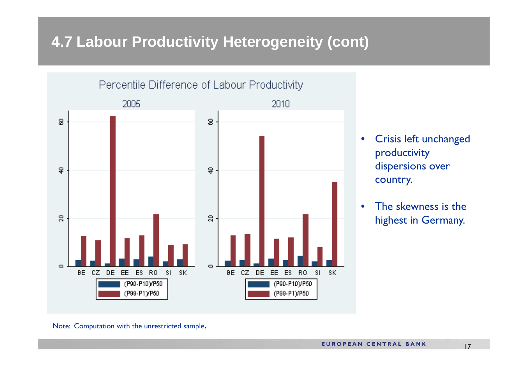#### **4.7 Labour Productivity Heterogeneity (cont)**



- $\bullet$  Crisis left unchanged productivity dispersions over country.
- • The skewness is the highest in Germany.

Note: Computation with the unrestricted sample**.**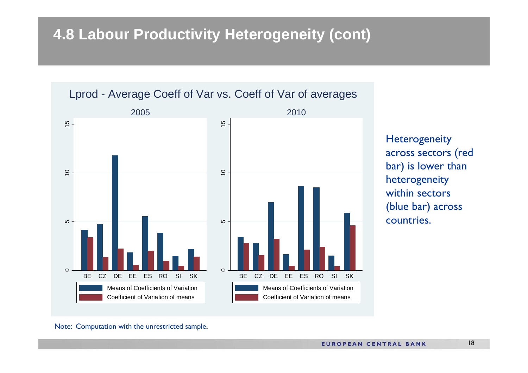#### **4.8 Labour Productivity Heterogeneity (cont)**



**Heterogeneity** across sectors (red bar) is lower than heterogeneity within sectors (blue bar) across countries.

Note: Computation with the unrestricted sample**.**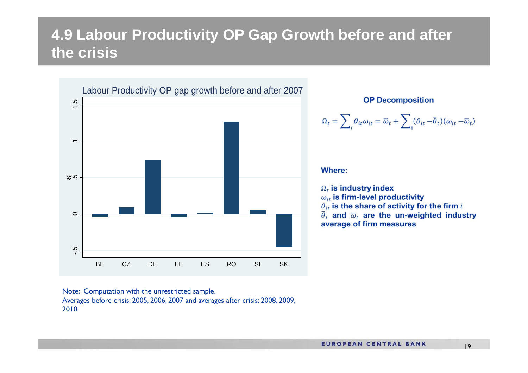#### **4.9 Labour Productivity OP Gap Growth before and after the crisis**



**OP Decomposition** 

$$
\Omega_t = \sum_i \theta_{it} \omega_{it} = \overline{\omega}_t + \sum_i (\theta_{it} - \overline{\theta}_t)(\omega_{it} - \overline{\omega}_t)
$$

#### **Where:**

 $\overline{\phantom{a}}$ 

 $\Omega_t$  is industry index  $\omega_{it}$  is firm-level productivity  $\theta_{it}$  is the share of activity for the firm i  $\overline{\theta}_t$  and  $\overline{\omega}_t$  are the un-weighted industry average of firm measures

Note: Computation with the unrestricted sample. Averages before crisis: 2005, 2006, 2007 and averages after crisis: 2008, 2009, 2010.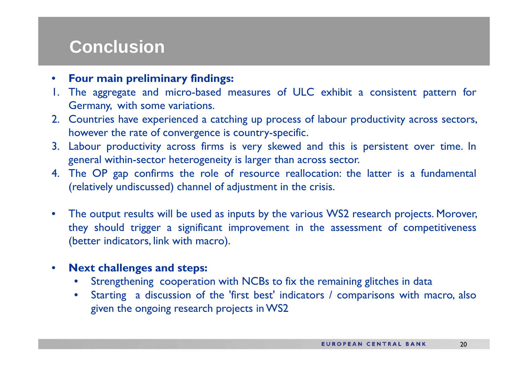#### **Conclusion**

- •**Four main preliminary findings:**
- 1. The aggregate and micro-based measures of ULC exhibit <sup>a</sup> consistent pattern for Germany, with some variations.
- 2. Countries have experienced <sup>a</sup> catching up process of labour productivity across sectors, however the rate of convergence is country-specific.
- 3. Labour productivity across firms is very skewed and this is persistent over time. In general within-sector heterogeneity is larger than across sector.
- 4. The OP gap confirms the role of resource reallocation: the latter is <sup>a</sup> fundamental (relatively undiscussed) channel of adjustment in the crisis.
- $\bullet$  The output results will be used as inputs by the various WS2 research projects. Morover, they should trigger <sup>a</sup> significant improvement in the assessment of competitiveness (better indicators, link with macro).
- $\bullet$  **Next challenges and steps:**
	- •Strengthening cooperation with NCBs to fix the remaining glitches in data
	- $\bullet$  Starting <sup>a</sup> discussion of the 'first best' indicators / comparisons with macro, also given the ongoing research projects in WS2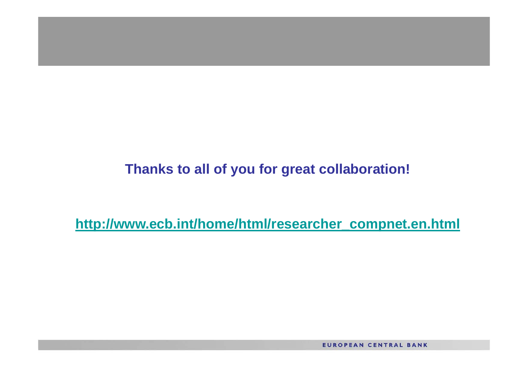#### **Thanks to all of you for great collaboration!**

**http://www.ecb.int/home/html/researcher\_compnet.en.html**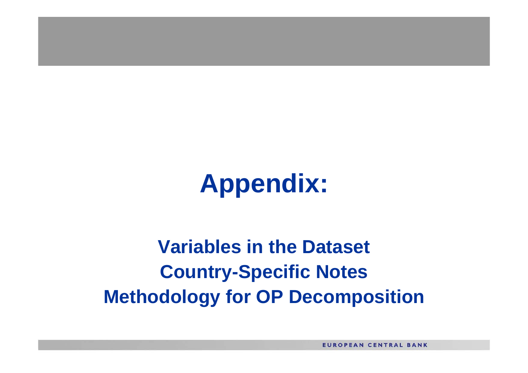# **Appendix:**

## **Variables in the Dataset Country-Specific Notes Methodology for OP Decomposition**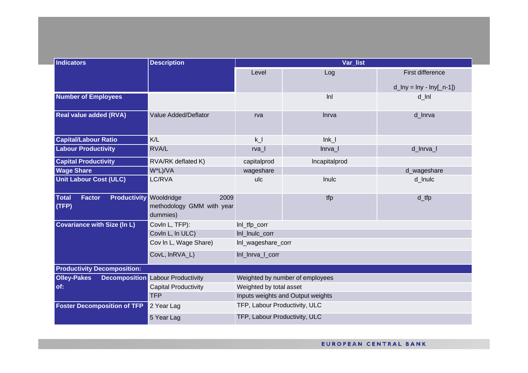| <b>Indicators</b>                                                        | <b>Description</b>                                          | Var_list                          |                    |                                 |  |  |
|--------------------------------------------------------------------------|-------------------------------------------------------------|-----------------------------------|--------------------|---------------------------------|--|--|
|                                                                          |                                                             | Level                             | Log                | <b>First difference</b>         |  |  |
|                                                                          |                                                             |                                   |                    | $d_{lny} = \ln y - \ln y[-n-1]$ |  |  |
| <b>Number of Employees</b>                                               |                                                             |                                   | lnl                | $d_l$ Inl                       |  |  |
| <b>Real value added (RVA)</b>                                            | Value Added/Deflator                                        | rva                               | Inrva              | d_Inrva                         |  |  |
| <b>Capital/Labour Ratio</b>                                              | K/L                                                         | k                                 | $lnk$ $l$          |                                 |  |  |
| <b>Labour Productivity</b>                                               | RVA/L                                                       | $rva-$                            | lnrva <sub>l</sub> | d_Inrva_I                       |  |  |
| <b>Capital Productivity</b>                                              | RVA/RK deflated K)                                          | capitalprod                       | Incapitalprod      |                                 |  |  |
| <b>Wage Share</b>                                                        | W*L)/VA                                                     | wageshare                         |                    | d_wageshare                     |  |  |
| <b>Unit Labour Cost (ULC)</b>                                            | LC/RVA                                                      | ulc                               | Inulc              | d_Inulc                         |  |  |
| <b>Total</b><br><b>Factor</b><br><b>Productivity</b><br>(TFP)            | Wooldridge<br>2009<br>methodology GMM with year<br>dummies) |                                   | tfp                | $d_{tfp}$                       |  |  |
| <b>Covariance with Size (In L)</b>                                       | Covin L, TFP):                                              | Inl_tfp_corr                      |                    |                                 |  |  |
|                                                                          | Covin L, in ULC)                                            | Inl_Inulc_corr                    |                    |                                 |  |  |
|                                                                          | Cov In L, Wage Share)                                       | Inl_wageshare_corr                |                    |                                 |  |  |
| CovL, InRVA_L)                                                           |                                                             | Inl_Inrva_I_corr                  |                    |                                 |  |  |
| <b>Productivity Decomposition:</b>                                       |                                                             |                                   |                    |                                 |  |  |
| <b>Olley-Pakes</b><br><b>Decomposition</b><br><b>Labour Productivity</b> |                                                             | Weighted by number of employees   |                    |                                 |  |  |
| of:                                                                      | <b>Capital Productivity</b>                                 | Weighted by total asset           |                    |                                 |  |  |
| <b>TFP</b>                                                               |                                                             | Inputs weights and Output weights |                    |                                 |  |  |
| <b>Foster Decomposition of TFP</b>                                       | 2 Year Lag                                                  | TFP, Labour Productivity, ULC     |                    |                                 |  |  |
|                                                                          | 5 Year Lag                                                  | TFP, Labour Productivity, ULC     |                    |                                 |  |  |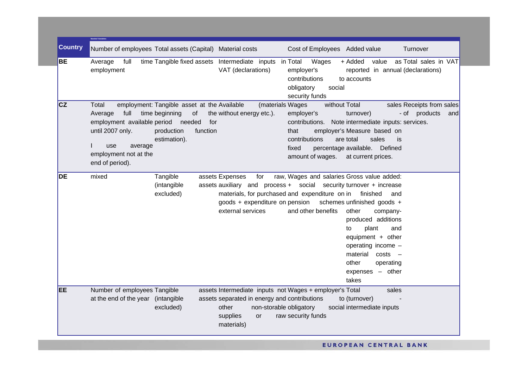|                | <b>Needed Variat</b>                                                                                                                                                                                                                                                                                                                                                                                                                                                                                                                                                                                                                                            |
|----------------|-----------------------------------------------------------------------------------------------------------------------------------------------------------------------------------------------------------------------------------------------------------------------------------------------------------------------------------------------------------------------------------------------------------------------------------------------------------------------------------------------------------------------------------------------------------------------------------------------------------------------------------------------------------------|
| <b>Country</b> | Number of employees Total assets (Capital) Material costs<br>Cost of Employees Added value<br>Turnover                                                                                                                                                                                                                                                                                                                                                                                                                                                                                                                                                          |
| <b>BE</b>      | time Tangible fixed assets Intermediate inputs in Total<br>Wages<br>+ Added<br>value<br>as Total sales in VAT<br>Average<br>full<br>VAT (declarations)<br>employment<br>employer's<br>reported in annual (declarations)<br>contributions<br>to accounts<br>obligatory<br>social<br>security funds                                                                                                                                                                                                                                                                                                                                                               |
| <b>CZ</b>      | employment: Tangible asset at the Available<br>sales Receipts from sales<br>(materials Wages<br>without Total<br>Total<br>full<br>time beginning<br>of<br>the without energy etc.).<br>employer's<br>- of products<br>Average<br>turnover)<br>and<br>employment available period<br>needed<br>for<br>contributions.<br>Note intermediate inputs: services.<br>until 2007 only.<br>function<br>employer's Measure based on<br>production<br>that<br>contributions<br>sales<br>estimation).<br>are total<br>is.<br>average<br>use<br>Defined<br>fixed<br>percentage available.<br>employment not at the<br>amount of wages. at current prices.<br>end of period). |
| DE             | Tangible<br>raw, Wages and salaries Gross value added:<br>mixed<br>assets Expenses<br>for<br>(intangible<br>assets auxiliary and process + social security turnover + increase<br>materials, for purchased and expenditure on in<br>excluded)<br>finished<br>and<br>goods + expenditure on pension<br>schemes unfinished goods +<br>and other benefits<br>other<br>external services<br>company-<br>produced additions<br>to<br>plant<br>and<br>equipment $+$ other<br>operating income -<br>material<br>costs<br>$\overline{\phantom{0}}$<br>other<br>operating<br>expenses - other<br>takes                                                                   |
| <b>EE</b>      | Number of employees Tangible<br>assets Intermediate inputs not Wages + employer's Total<br>sales<br>assets separated in energy and contributions<br>to (turnover)<br>at the end of the year (intangible<br>excluded)<br>other<br>non-storable obligatory<br>social intermediate inputs<br>raw security funds<br>supplies<br>or<br>materials)                                                                                                                                                                                                                                                                                                                    |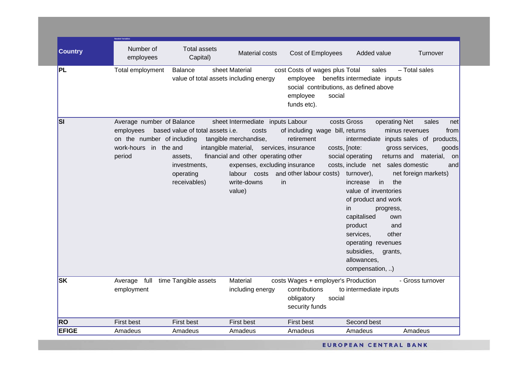|                | <b>Needed Variables</b>                                                                      |                                                                                                        |                                                                                                                                                                                                                 |                                                                                                                           |                                                                                                                                                                                                                                                                                                                                                                               |                                                                                                                                                   |
|----------------|----------------------------------------------------------------------------------------------|--------------------------------------------------------------------------------------------------------|-----------------------------------------------------------------------------------------------------------------------------------------------------------------------------------------------------------------|---------------------------------------------------------------------------------------------------------------------------|-------------------------------------------------------------------------------------------------------------------------------------------------------------------------------------------------------------------------------------------------------------------------------------------------------------------------------------------------------------------------------|---------------------------------------------------------------------------------------------------------------------------------------------------|
| <b>Country</b> | Number of<br>employees                                                                       | <b>Total assets</b><br>Capital)                                                                        | <b>Material costs</b>                                                                                                                                                                                           | Cost of Employees                                                                                                         | Added value                                                                                                                                                                                                                                                                                                                                                                   | Turnover                                                                                                                                          |
| PL             | Total employment                                                                             | Balance<br>value of total assets including energy                                                      | sheet Material                                                                                                                                                                                                  | cost Costs of wages plus Total<br>employee<br>social contributions, as defined above<br>employee<br>social<br>funds etc). | sales<br>benefits intermediate inputs                                                                                                                                                                                                                                                                                                                                         | - Total sales                                                                                                                                     |
| <b>SI</b>      | Average number of Balance<br>employees<br>on the number of including<br>work-hours<br>period | based value of total assets i.e.<br>in the and<br>assets,<br>investments,<br>operating<br>receivables) | sheet Intermediate inputs Labour<br>costs<br>tangible merchandise,<br>intangible material, services, insurance<br>financial and other operating other<br>expenses, excluding insurance<br>write-downs<br>value) | of including wage bill, returns<br>retirement<br>costs, [note:<br>labour costs and other labour costs)<br>in              | operating Net<br>costs Gross<br>intermediate<br>social operating<br>returns and<br>costs, include net sales domestic<br>turnover),<br>the<br>in<br>increase<br>value of inventories<br>of product and work<br>in.<br>progress,<br>capitalised<br>own<br>product<br>and<br>other<br>services,<br>operating revenues<br>subsidies,<br>grants,<br>allowances,<br>compensation, ) | sales<br>net<br>from<br>minus revenues<br>inputs sales of products,<br>gross services,<br>goods<br>material,<br>on<br>and<br>net foreign markets) |
| <b>SK</b>      | Average full<br>employment                                                                   | time Tangible assets                                                                                   | Material<br>including energy                                                                                                                                                                                    | costs Wages + employer's Production<br>contributions<br>obligatory<br>social<br>security funds                            | to intermediate inputs                                                                                                                                                                                                                                                                                                                                                        | - Gross turnover                                                                                                                                  |
| <b>RO</b>      | First best                                                                                   | <b>First best</b>                                                                                      | First best                                                                                                                                                                                                      | <b>First best</b>                                                                                                         | Second best                                                                                                                                                                                                                                                                                                                                                                   |                                                                                                                                                   |
| <b>EFIGE</b>   | Amadeus                                                                                      | Amadeus                                                                                                | Amadeus                                                                                                                                                                                                         | Amadeus                                                                                                                   | Amadeus                                                                                                                                                                                                                                                                                                                                                                       | Amadeus                                                                                                                                           |
|                |                                                                                              |                                                                                                        |                                                                                                                                                                                                                 |                                                                                                                           |                                                                                                                                                                                                                                                                                                                                                                               |                                                                                                                                                   |

EUROPEAN CENTRAL BANK